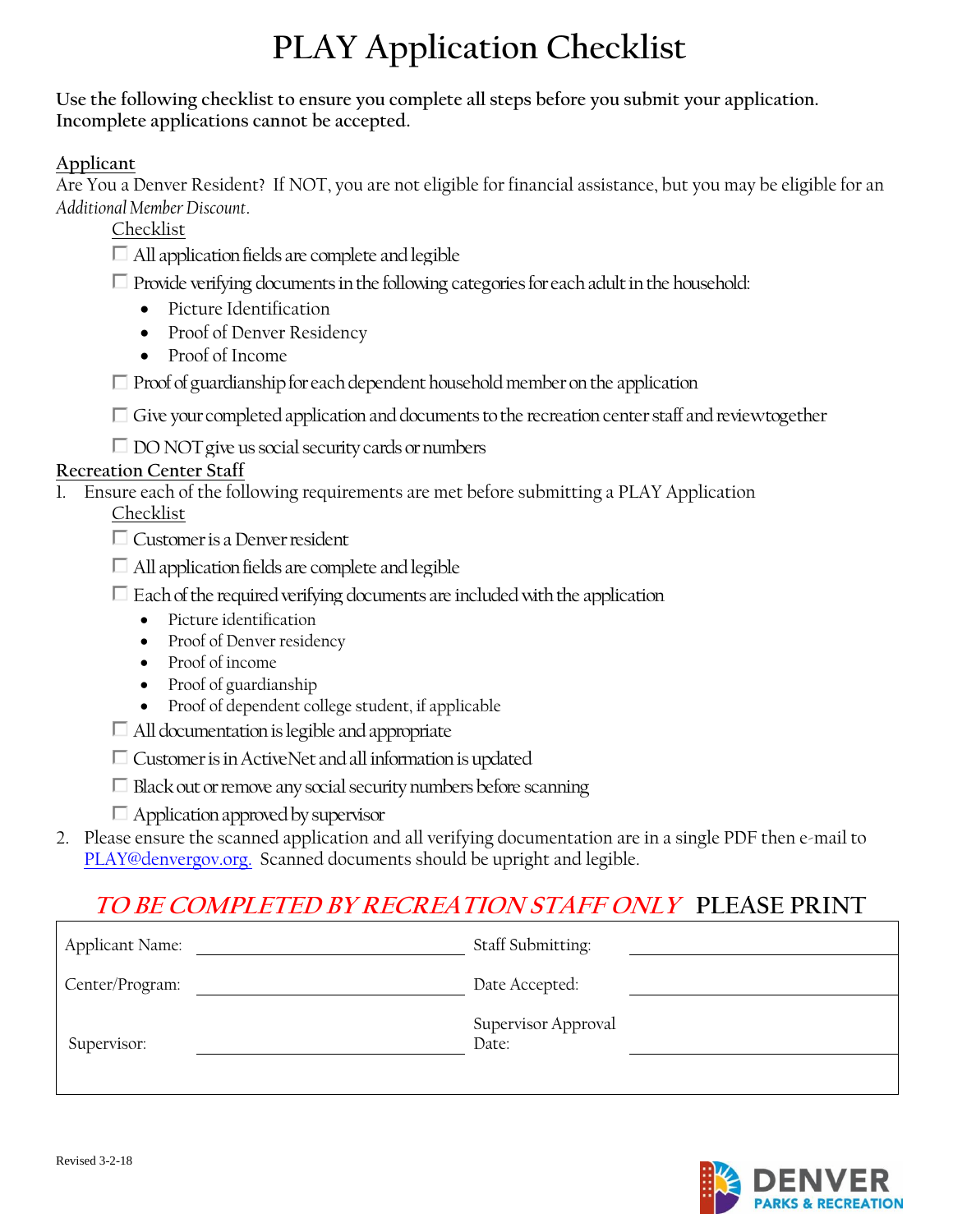# **PLAY Application Checklist**

**Use the following checklist to ensure you complete all steps before you submit your application. Incomplete applications cannot be accepted.**

**Applicant**

Are You a Denver Resident? If NOT, you are not eligible for financial assistance, but you may be eligible for an *Additional Member Discount*.

Checklist

All application fields are complete and legible

 $\Box$  Provide verifying documents in the following categories for each adult in the household:

- Picture Identification
- Proof of Denver Residency
- Proof of Income

Provide verifying documents in the following categories for each adult in the household:<br>
• Proof of Denver Residency<br>
• Proof of Income<br>
Proof of guardianship for each dependent household member on the application<br>
Give y

#### **Recreation Center Staff**

1. Ensure each of the following requirements are met before submitting a PLAY Application

Checklist

Customer is a Denver resident

- $\Box$  All application fields are complete and legible
- $\Box$  Each of the required verifying documents are included with the application
	- Picture identification
	- Proof of Denver residency
	- Proof of income
	- Proof of guardianship
	- Proof of dependent college student, if applicable
- 
- 
- <ul>\n<li>□ All documentation is legible and appropriate</li>\n<li>□ Customer is in ActiveNet and all information is updated</li>\n<li>□ Black out or remove any social security numbers before scanning</li>\n<li>□ Application approved by supervisor</li>\n</ul>
- 
- 2. Please ensure the scanned application and all verifying documentation are in a single PDF then e-mail to [PLAY@denvergov.org.](mailto:PLAY@denvergov.org) Scanned documents should be upright and legible.

### **TO BE COMPLETED BY RECREATION STAFF ONLY PLEASE PRINT**

| Applicant Name: | Staff Submitting:            |
|-----------------|------------------------------|
| Center/Program: | Date Accepted:               |
| Supervisor:     | Supervisor Approval<br>Date: |

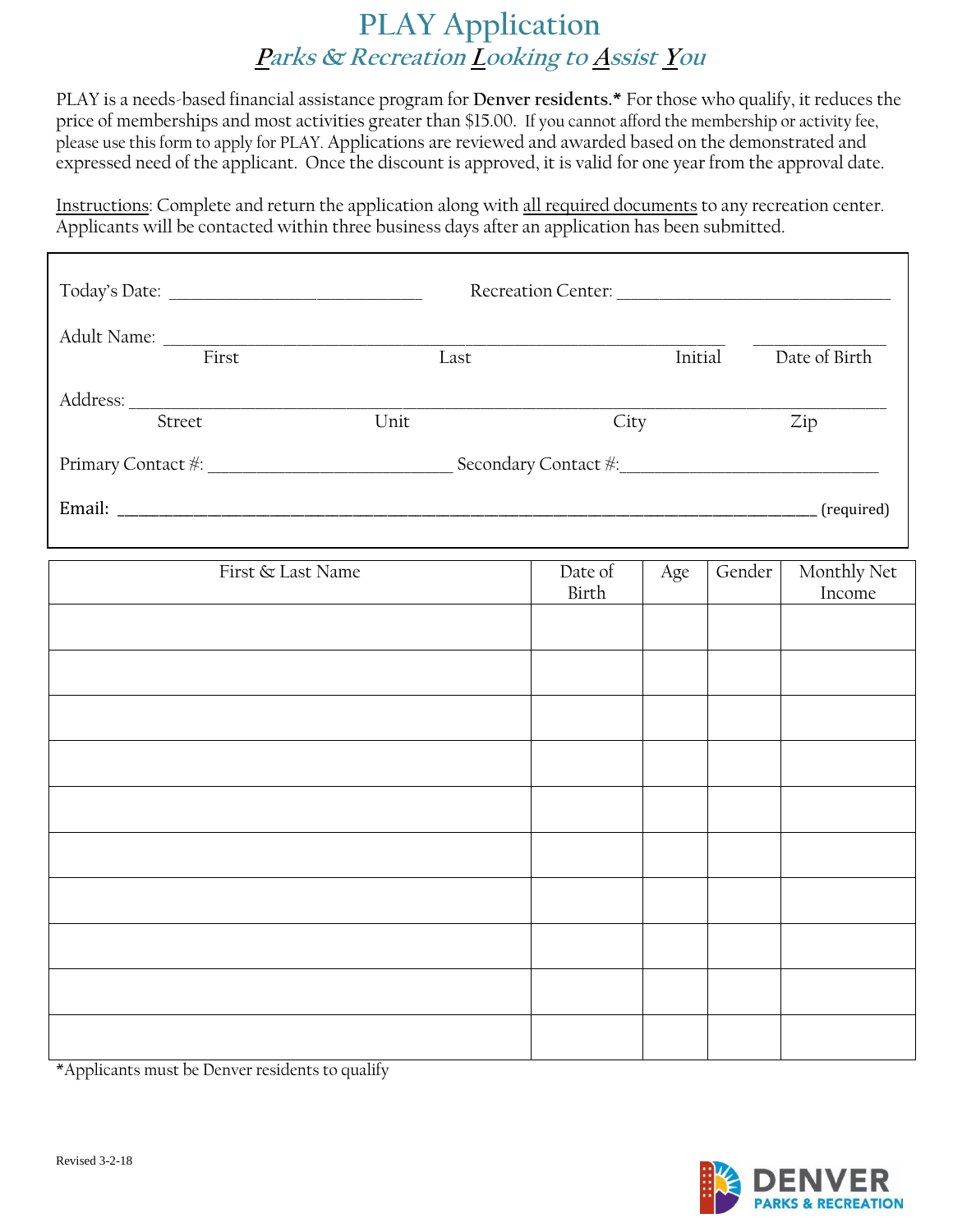### **PLAY Application Parks & Recreation Looking to Assist You**

PLAY is a needs-based financial assistance program for **Denver residents.\*** For those who qualify, it reduces the price of memberships and most activities greater than \$15.00. If you cannot afford the membership or activity fee, please use this form to apply for PLAY. Applications are reviewed and awarded based on the demonstrated and expressed need of the applicant. Once the discount is approved, it is valid for one year from the approval date.

Instructions: Complete and return the application along with all required documents to any recreation center. Applicants will be contacted within three business days after an application has been submitted.

|             |                     | <b>Recreation Center:</b> |               |
|-------------|---------------------|---------------------------|---------------|
| Adult Name: |                     |                           |               |
| First       | Last                | Initial                   | Date of Birth |
| Address:    |                     |                           |               |
| Street      | Unit                | City                      | Zip           |
|             | Secondary Contact * |                           |               |
| Email:      |                     |                           | (required)    |

| First & Last Name | Date of<br>Birth | Age | Gender | Monthly Net<br>Income |
|-------------------|------------------|-----|--------|-----------------------|
|                   |                  |     |        |                       |
|                   |                  |     |        |                       |
|                   |                  |     |        |                       |
|                   |                  |     |        |                       |
|                   |                  |     |        |                       |
|                   |                  |     |        |                       |
|                   |                  |     |        |                       |
|                   |                  |     |        |                       |
|                   |                  |     |        |                       |
|                   |                  |     |        |                       |

\*Applicants must be Denver residents to qualify

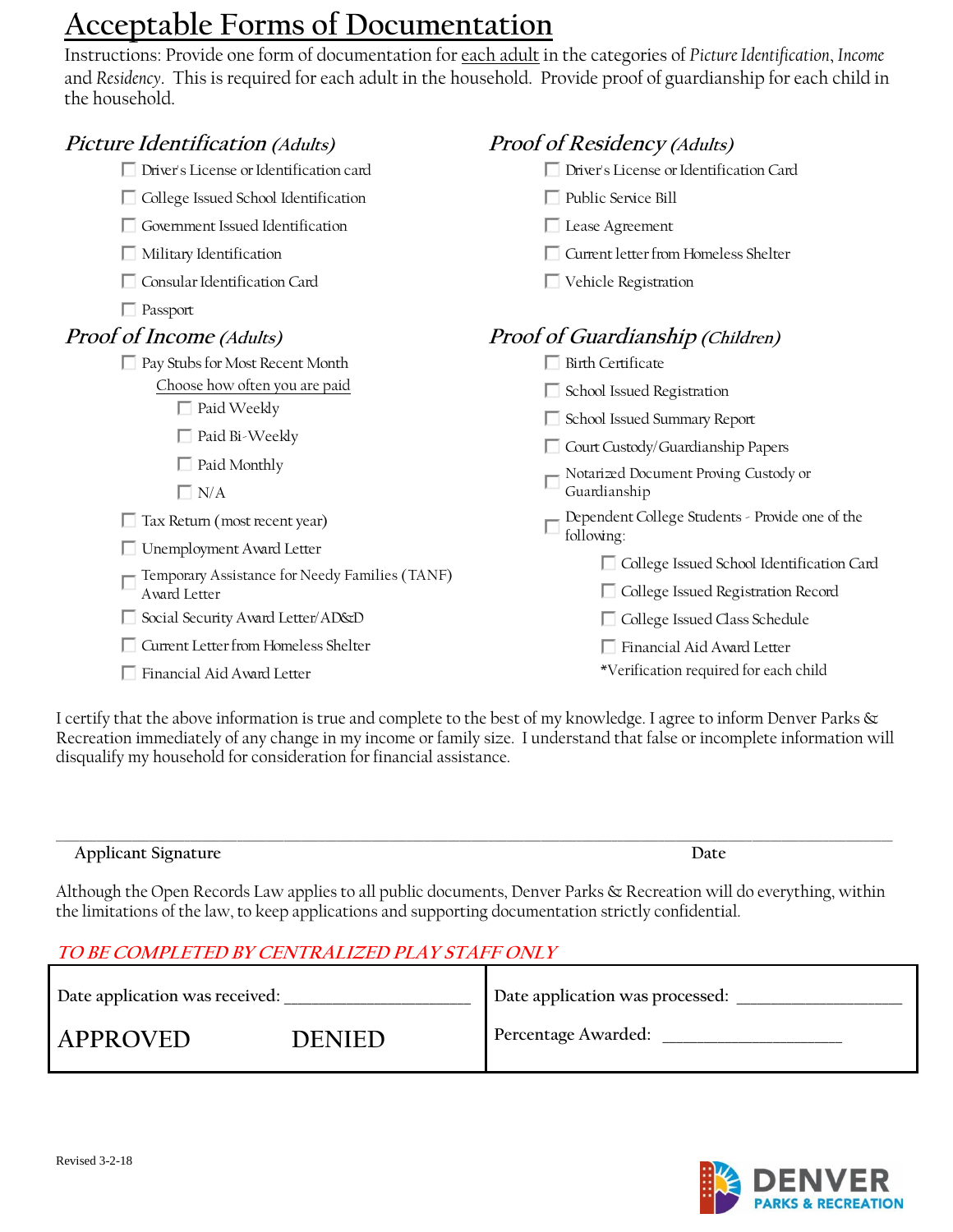## **Acceptable Forms of Documentation**

Instructions: Provide one form of documentation for each adult in the categories of *Picture Identification*, *Income* and *Residency*. This is required for each adult in the household. Provide proof of guardianship for each child in the household.

| <i>Picture Identification (Adults)</i>                         | <b>Proof of Residency (Adults)</b>                                                  |
|----------------------------------------------------------------|-------------------------------------------------------------------------------------|
| Driver's License or Identification card                        | Driver's License or Identification Card                                             |
| □ College Issued School Identification                         | $\Box$ Public Service Bill                                                          |
| □ Government Issued Identification                             | $\Box$ Lease Agreement                                                              |
| $\Box$ Military Identification                                 | Current letter from Homeless Shelter                                                |
| □ Consular Identification Card                                 | $\Box$ Vehicle Registration                                                         |
| $\Box$ Passport                                                |                                                                                     |
| Proof of Income (Adults)                                       | <b>Proof of Guardianship (Children)</b>                                             |
| □ Pay Stubs for Most Recent Month                              | $\Box$ Birth Certificate                                                            |
| Choose how often you are paid                                  | School Issued Registration                                                          |
| $\Box$ Paid Weekly                                             | School Issued Summary Report                                                        |
| $\Box$ Paid Bi-Weekly                                          | Court Custody/Guardianship Papers                                                   |
| $\Box$ Paid Monthly                                            | Notarized Document Proving Custody or                                               |
| $\Box$ N/A                                                     | Guardianship                                                                        |
| $\Box$ Tax Return (most recent year)                           | Dependent College Students - Provide one of the<br>following:                       |
| □ Unemployment Award Letter                                    |                                                                                     |
| Temporary Assistance for Needy Families (TANF)<br>Award Letter | □ College Issued School Identification Card<br>□ College Issued Registration Record |
| Social Security Award Letter/AD&D                              | □ College Issued Class Schedule                                                     |
| □ Current Letter from Homeless Shelter                         | Financial Aid Award Letter                                                          |
| Financial Aid Award Letter                                     | *Verification required for each child                                               |
|                                                                |                                                                                     |

I certify that the above information is true and complete to the best of my knowledge. I agree to inform Denver Parks & Recreation immediately of any change in my income or family size. I understand that false or incomplete information will disqualify my household for consideration for financial assistance.

| Applicant Signature<br>. . | Jate |
|----------------------------|------|

Although the Open Records Law applies to all public documents, Denver Parks & Recreation will do everything, within the limitations of the law, to keep applications and supporting documentation strictly confidential.

#### **TO BE COMPLETED BY CENTRALIZED PLAY STAFF ONLY**

| Date application was received: |               | Date application was processed: |
|--------------------------------|---------------|---------------------------------|
| APPROVED                       | <b>DENIED</b> | Percentage Awarded:             |

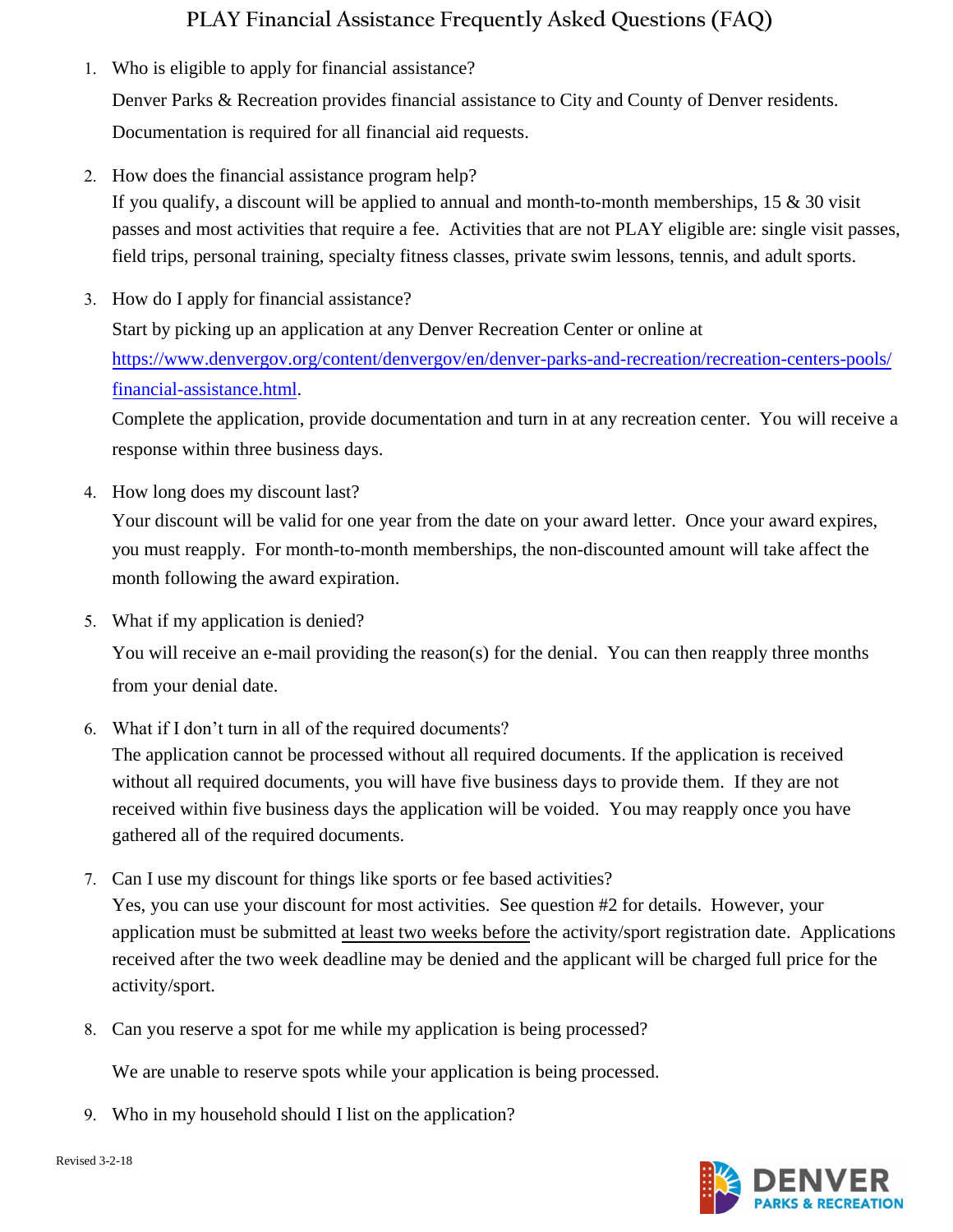### **PLAY Financial Assistance Frequently Asked Questions (FAQ)**

- 1. Who is eligible to apply for financial assistance? Denver Parks & Recreation provides financial assistance to City and County of Denver residents. Documentation is required for all financial aid requests.
- 2. How does the financial assistance program help? If you qualify, a discount will be applied to annual and month-to-month memberships,  $15 \& 30$  visit passes and most activities that require a fee. Activities that are not PLAY eligible are: single visit passes, field trips, personal training, specialty fitness classes, private swim lessons, tennis, and adult sports.
- 3. How do I apply for financial assistance? Start by picking up an application at any Denver Recreation Center or online at https://www.denvergov.org/content/denvergov/en/denver-parks-and-recreation/recreation-centers-pools/ [financial-assistance.html.](https://www.denvergov.org/content/denvergov/en/denver-parks-and-recreation/recreation-centers-pools/financial-assistance.html)

[Complete the application, provi](https://www.denvergov.org/content/denvergov/en/denver-parks-and-recreation/recreation-centers-pools/financial-assistance.html)de documentation and turn in at any recreation center. You will receive a response within three business days.

4. How long does my discount last?

Your discount will be valid for one year from the date on your award letter. Once your award expires, you must reapply. For month-to-month memberships, the non-discounted amount will take affect the month following the award expiration.

5. What if my application is denied?

You will receive an e-mail providing the reason(s) for the denial. You can then reapply three months from your denial date.

6. What if I don't turn in all of the required documents?

The application cannot be processed without all required documents. If the application is received without all required documents, you will have five business days to provide them. If they are not received within five business days the application will be voided. You may reapply once you have gathered all of the required documents.

- 7. Can I use my discount for things like sports or fee based activities? Yes, you can use your discount for most activities. See question #2 for details. However, your application must be submitted at least two weeks before the activity/sport registration date. Applications received after the two week deadline may be denied and the applicant will be charged full price for the activity/sport.
- 8. Can you reserve a spot for me while my application is being processed?

We are unable to reserve spots while your application is being processed.

9. Who in my household should I list on the application?